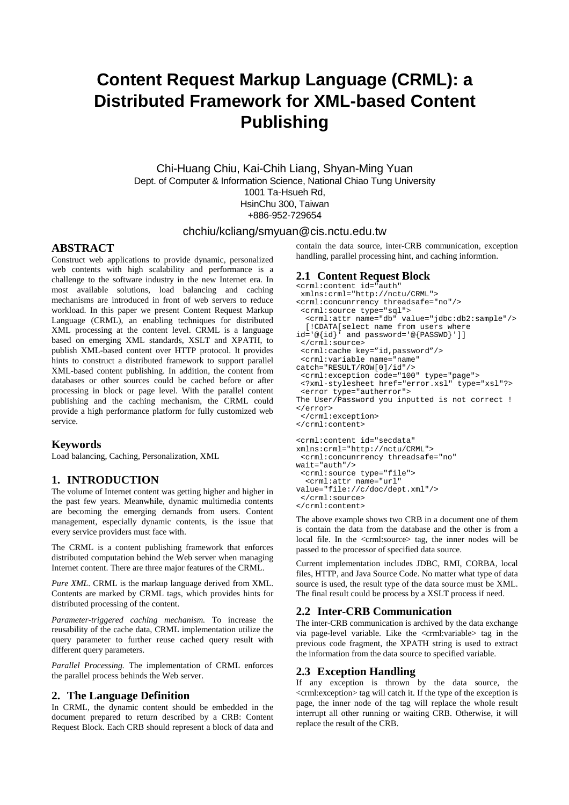# **Content Request Markup Language (CRML): a Distributed Framework for XML-based Content Publishing**

Chi-Huang Chiu, Kai-Chih Liang, Shyan-Ming Yuan Dept. of Computer & Information Science, National Chiao Tung University 1001 Ta-Hsueh Rd, HsinChu 300, Taiwan +886-952-729654

#### chchiu/kcliang/smyuan@cis.nctu.edu.tw

# **ABSTRACT**

Construct web applications to provide dynamic, personalized web contents with high scalability and performance is a challenge to the software industry in the new Internet era. In most available solutions, load balancing and caching mechanisms are introduced in front of web servers to reduce workload. In this paper we present Content Request Markup Language (CRML), an enabling techniques for distributed XML processing at the content level. CRML is a language based on emerging XML standards, XSLT and XPATH, to publish XML-based content over HTTP protocol. It provides hints to construct a distributed framework to support parallel XML-based content publishing. In addition, the content from databases or other sources could be cached before or after processing in block or page level. With the parallel content publishing and the caching mechanism, the CRML could provide a high performance platform for fully customized web service.

# **Keywords**

Load balancing, Caching, Personalization, XML

# **1. INTRODUCTION**

The volume of Internet content was getting higher and higher in the past few years. Meanwhile, dynamic multimedia contents are becoming the emerging demands from users. Content management, especially dynamic contents, is the issue that every service providers must face with.

The CRML is a content publishing framework that enforces distributed computation behind the Web server when managing Internet content. There are three major features of the CRML.

*Pure XML*. CRML is the markup language derived from XML. Contents are marked by CRML tags, which provides hints for distributed processing of the content.

*Parameter-triggered caching mechanism.* To increase the reusability of the cache data, CRML implementation utilize the query parameter to further reuse cached query result with different query parameters.

*Parallel Processing.* The implementation of CRML enforces the parallel process behinds the Web server.

# **2. The Language Definition**

In CRML, the dynamic content should be embedded in the document prepared to return described by a CRB: Content Request Block. Each CRB should represent a block of data and

contain the data source, inter-CRB communication, exception handling, parallel processing hint, and caching informtion.

# **2.1 Content Request Block**

```
<crml:content id="auth"
xmlns:crml="http://nctu/CRML">
<crml:concunrrency threadsafe="no"/>
<crml:source type="sql">
  <crml:attr name="db" value="jdbc:db2:sample"/>
   [!CDATA[select name from users where
id='@{id}' and password='@{PASSWD}']]
 </crml:source>
 <crml:cache key="id,password"/>
 <crml:variable name="name"
catch="RESULT/ROW[0]/id"/>
 <crml:exception code="100" type="page">
 <?xml-stylesheet href="error.xsl" type="xsl"?>
 <error type="autherror">
The User/Password you inputted is not correct !
</error>
</crml:exception>
</crml:content>
<crml:content id="secdata"
xmlns:crml="http://nctu/CRML">
<crml:concunrrency threadsafe="no"
wait="auth"/>
<crml:source type="file">
   <crml:attr name="url" 
value="file://c/doc/dept.xml"/>
</crml:source>
```
</crml:content>

The above example shows two CRB in a document one of them is contain the data from the database and the other is from a local file. In the <crml:source> tag, the inner nodes will be passed to the processor of specified data source.

Current implementation includes JDBC, RMI, CORBA, local files, HTTP, and Java Source Code. No matter what type of data source is used, the result type of the data source must be XML. The final result could be process by a XSLT process if need.

#### **2.2 Inter-CRB Communication**

The inter-CRB communication is archived by the data exchange via page-level variable. Like the <crml:variable> tag in the previous code fragment, the XPATH string is used to extract the information from the data source to specified variable.

#### **2.3 Exception Handling**

If any exception is thrown by the data source, the <crml:exception> tag will catch it. If the type of the exception is page, the inner node of the tag will replace the whole result interrupt all other running or waiting CRB. Otherwise, it will replace the result of the CRB.